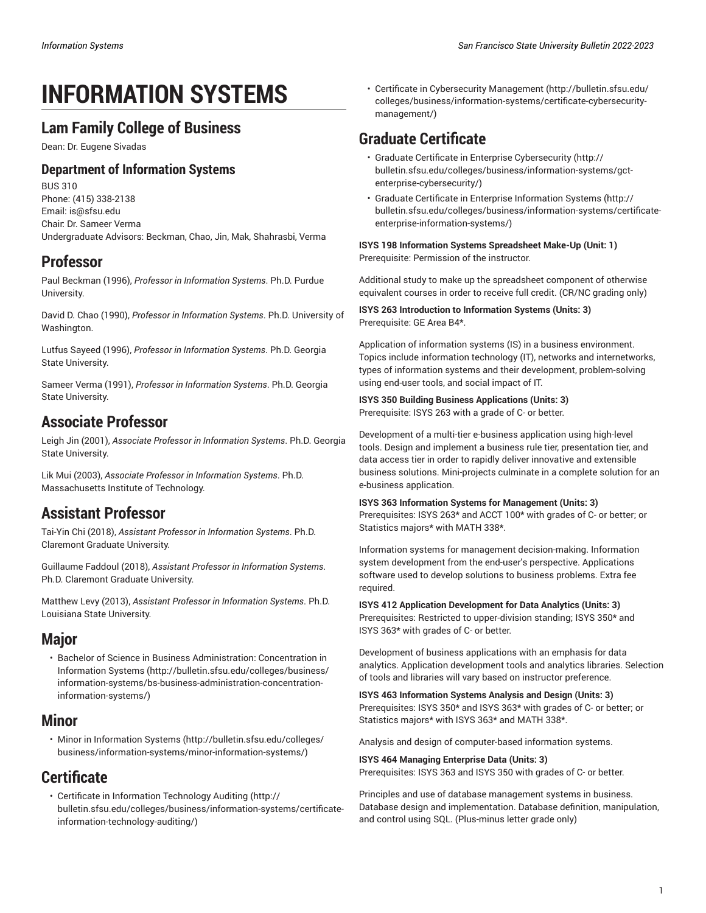# **INFORMATION SYSTEMS**

### **Lam Family College of Business**

Dean: Dr. Eugene Sivadas

### **Department of Information Systems**

BUS 310 Phone: (415) 338-2138 Email: [is@sfsu.edu](mailto:is@sfsu.edu) Chair: Dr. Sameer Verma Undergraduate Advisors: Beckman, Chao, Jin, Mak, Shahrasbi, Verma

## **Professor**

Paul Beckman (1996), *Professor in Information Systems*. Ph.D. Purdue University.

David D. Chao (1990), *Professor in Information Systems*. Ph.D. University of Washington.

Lutfus Sayeed (1996), *Professor in Information Systems*. Ph.D. Georgia State University.

Sameer Verma (1991), *Professor in Information Systems*. Ph.D. Georgia State University.

### **Associate Professor**

Leigh Jin (2001), *Associate Professor in Information Systems*. Ph.D. Georgia State University.

Lik Mui (2003), *Associate Professor in Information Systems*. Ph.D. Massachusetts Institute of Technology.

### **Assistant Professor**

Tai-Yin Chi (2018), *Assistant Professor in Information Systems*. Ph.D. Claremont Graduate University.

Guillaume Faddoul (2018), *Assistant Professor in Information Systems*. Ph.D. Claremont Graduate University.

Matthew Levy (2013), *Assistant Professor in Information Systems*. Ph.D. Louisiana State University.

### **Major**

• [Bachelor of Science in Business Administration: Concentration in](http://bulletin.sfsu.edu/colleges/business/information-systems/bs-business-administration-concentration-information-systems/) [Information Systems](http://bulletin.sfsu.edu/colleges/business/information-systems/bs-business-administration-concentration-information-systems/) [\(http://bulletin.sfsu.edu/colleges/business/](http://bulletin.sfsu.edu/colleges/business/information-systems/bs-business-administration-concentration-information-systems/) [information-systems/bs-business-administration-concentration](http://bulletin.sfsu.edu/colleges/business/information-systems/bs-business-administration-concentration-information-systems/)[information-systems/\)](http://bulletin.sfsu.edu/colleges/business/information-systems/bs-business-administration-concentration-information-systems/)

### **Minor**

• [Minor in Information Systems \(http://bulletin.sfsu.edu/colleges/](http://bulletin.sfsu.edu/colleges/business/information-systems/minor-information-systems/) [business/information-systems/minor-information-systems/](http://bulletin.sfsu.edu/colleges/business/information-systems/minor-information-systems/))

# **Certificate**

• Certificate in [Information](http://bulletin.sfsu.edu/colleges/business/information-systems/certificate-information-technology-auditing/) Technology Auditing ([http://](http://bulletin.sfsu.edu/colleges/business/information-systems/certificate-information-technology-auditing/) [bulletin.sfsu.edu/colleges/business/information-systems/certificate](http://bulletin.sfsu.edu/colleges/business/information-systems/certificate-information-technology-auditing/)[information-technology-auditing/\)](http://bulletin.sfsu.edu/colleges/business/information-systems/certificate-information-technology-auditing/)

• Certificate in [Cybersecurity](http://bulletin.sfsu.edu/colleges/business/information-systems/certificate-cybersecurity-management/) Management [\(http://bulletin.sfsu.edu/](http://bulletin.sfsu.edu/colleges/business/information-systems/certificate-cybersecurity-management/) [colleges/business/information-systems/certificate-cybersecurity](http://bulletin.sfsu.edu/colleges/business/information-systems/certificate-cybersecurity-management/)[management/](http://bulletin.sfsu.edu/colleges/business/information-systems/certificate-cybersecurity-management/))

# **Graduate Certificate**

- Graduate Certificate in Enterprise [Cybersecurity \(http://](http://bulletin.sfsu.edu/colleges/business/information-systems/gct-enterprise-cybersecurity/) [bulletin.sfsu.edu/colleges/business/information-systems/gct](http://bulletin.sfsu.edu/colleges/business/information-systems/gct-enterprise-cybersecurity/)[enterprise-cybersecurity/\)](http://bulletin.sfsu.edu/colleges/business/information-systems/gct-enterprise-cybersecurity/)
- Graduate Certificate in Enterprise [Information](http://bulletin.sfsu.edu/colleges/business/information-systems/certificate-enterprise-information-systems/) Systems [\(http://](http://bulletin.sfsu.edu/colleges/business/information-systems/certificate-enterprise-information-systems/) [bulletin.sfsu.edu/colleges/business/information-systems/certificate](http://bulletin.sfsu.edu/colleges/business/information-systems/certificate-enterprise-information-systems/)[enterprise-information-systems/\)](http://bulletin.sfsu.edu/colleges/business/information-systems/certificate-enterprise-information-systems/)

**ISYS 198 Information Systems Spreadsheet Make-Up (Unit: 1)** Prerequisite: Permission of the instructor.

Additional study to make up the spreadsheet component of otherwise equivalent courses in order to receive full credit. (CR/NC grading only)

**ISYS 263 Introduction to Information Systems (Units: 3)** Prerequisite: GE Area B4\*.

Application of information systems (IS) in a business environment. Topics include information technology (IT), networks and internetworks, types of information systems and their development, problem-solving using end-user tools, and social impact of IT.

#### **ISYS 350 Building Business Applications (Units: 3)** Prerequisite: ISYS 263 with a grade of C- or better.

Development of a multi-tier e-business application using high-level tools. Design and implement a business rule tier, presentation tier, and data access tier in order to rapidly deliver innovative and extensible business solutions. Mini-projects culminate in a complete solution for an e-business application.

#### **ISYS 363 Information Systems for Management (Units: 3)**

Prerequisites: ISYS 263\* and ACCT 100\* with grades of C- or better; or Statistics majors\* with MATH 338\*.

Information systems for management decision-making. Information system development from the end-user's perspective. Applications software used to develop solutions to business problems. Extra fee required.

**ISYS 412 Application Development for Data Analytics (Units: 3)** Prerequisites: Restricted to upper-division standing; ISYS 350\* and ISYS 363\* with grades of C- or better.

Development of business applications with an emphasis for data analytics. Application development tools and analytics libraries. Selection of tools and libraries will vary based on instructor preference.

**ISYS 463 Information Systems Analysis and Design (Units: 3)** Prerequisites: ISYS 350\* and ISYS 363\* with grades of C- or better; or Statistics majors\* with ISYS 363\* and MATH 338\*.

Analysis and design of computer-based information systems.

**ISYS 464 Managing Enterprise Data (Units: 3)** Prerequisites: ISYS 363 and ISYS 350 with grades of C- or better.

Principles and use of database management systems in business. Database design and implementation. Database definition, manipulation, and control using SQL. (Plus-minus letter grade only)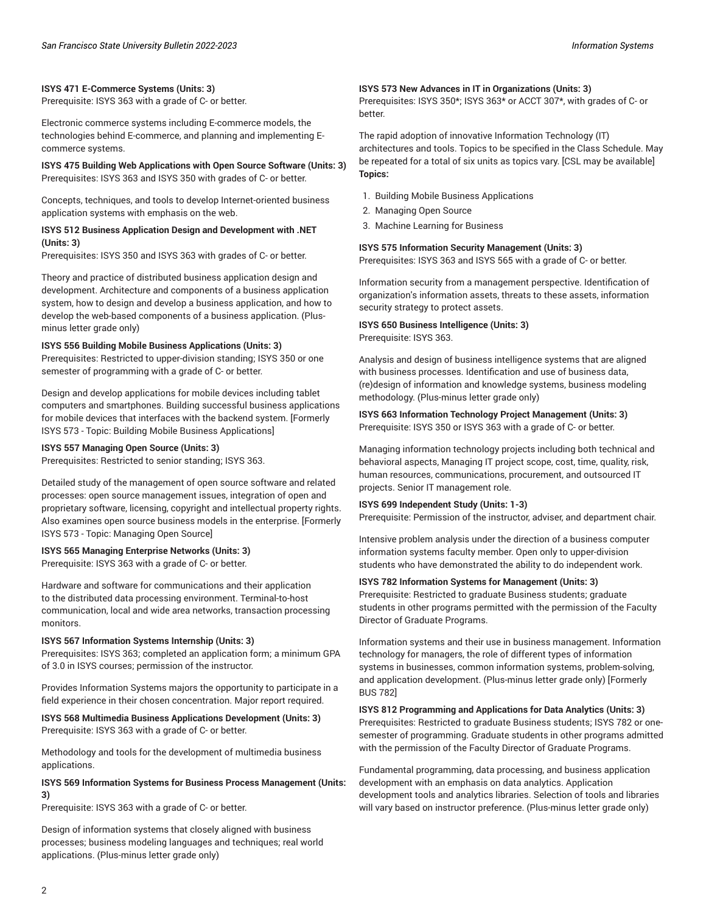#### **ISYS 471 E-Commerce Systems (Units: 3)**

Prerequisite: ISYS 363 with a grade of C- or better.

Electronic commerce systems including E-commerce models, the technologies behind E-commerce, and planning and implementing Ecommerce systems.

#### **ISYS 475 Building Web Applications with Open Source Software (Units: 3)** Prerequisites: ISYS 363 and ISYS 350 with grades of C- or better.

Concepts, techniques, and tools to develop Internet-oriented business application systems with emphasis on the web.

#### **ISYS 512 Business Application Design and Development with .NET (Units: 3)**

Prerequisites: ISYS 350 and ISYS 363 with grades of C- or better.

Theory and practice of distributed business application design and development. Architecture and components of a business application system, how to design and develop a business application, and how to develop the web-based components of a business application. (Plusminus letter grade only)

#### **ISYS 556 Building Mobile Business Applications (Units: 3)**

Prerequisites: Restricted to upper-division standing; ISYS 350 or one semester of programming with a grade of C- or better.

Design and develop applications for mobile devices including tablet computers and smartphones. Building successful business applications for mobile devices that interfaces with the backend system. [Formerly ISYS 573 - Topic: Building Mobile Business Applications]

#### **ISYS 557 Managing Open Source (Units: 3)**

Prerequisites: Restricted to senior standing; ISYS 363.

Detailed study of the management of open source software and related processes: open source management issues, integration of open and proprietary software, licensing, copyright and intellectual property rights. Also examines open source business models in the enterprise. [Formerly ISYS 573 - Topic: Managing Open Source]

#### **ISYS 565 Managing Enterprise Networks (Units: 3)**

Prerequisite: ISYS 363 with a grade of C- or better.

Hardware and software for communications and their application to the distributed data processing environment. Terminal-to-host communication, local and wide area networks, transaction processing monitors.

#### **ISYS 567 Information Systems Internship (Units: 3)**

Prerequisites: ISYS 363; completed an application form; a minimum GPA of 3.0 in ISYS courses; permission of the instructor.

Provides Information Systems majors the opportunity to participate in a field experience in their chosen concentration. Major report required.

**ISYS 568 Multimedia Business Applications Development (Units: 3)** Prerequisite: ISYS 363 with a grade of C- or better.

Methodology and tools for the development of multimedia business applications.

#### **ISYS 569 Information Systems for Business Process Management (Units: 3)**

Prerequisite: ISYS 363 with a grade of C- or better.

Design of information systems that closely aligned with business processes; business modeling languages and techniques; real world applications. (Plus-minus letter grade only)

#### **ISYS 573 New Advances in IT in Organizations (Units: 3)**

Prerequisites: ISYS 350\*; ISYS 363\* or ACCT 307\*, with grades of C- or better.

The rapid adoption of innovative Information Technology (IT) architectures and tools. Topics to be specified in the Class Schedule. May be repeated for a total of six units as topics vary. [CSL may be available] **Topics:**

- 1. Building Mobile Business Applications
- 2. Managing Open Source
- 3. Machine Learning for Business

#### **ISYS 575 Information Security Management (Units: 3)**

Prerequisites: ISYS 363 and ISYS 565 with a grade of C- or better.

Information security from a management perspective. Identification of organization's information assets, threats to these assets, information security strategy to protect assets.

### **ISYS 650 Business Intelligence (Units: 3)**

Prerequisite: ISYS 363.

Analysis and design of business intelligence systems that are aligned with business processes. Identification and use of business data, (re)design of information and knowledge systems, business modeling methodology. (Plus-minus letter grade only)

#### **ISYS 663 Information Technology Project Management (Units: 3)** Prerequisite: ISYS 350 or ISYS 363 with a grade of C- or better.

Managing information technology projects including both technical and behavioral aspects, Managing IT project scope, cost, time, quality, risk, human resources, communications, procurement, and outsourced IT projects. Senior IT management role.

#### **ISYS 699 Independent Study (Units: 1-3)**

Prerequisite: Permission of the instructor, adviser, and department chair.

Intensive problem analysis under the direction of a business computer information systems faculty member. Open only to upper-division students who have demonstrated the ability to do independent work.

#### **ISYS 782 Information Systems for Management (Units: 3)**

Prerequisite: Restricted to graduate Business students; graduate students in other programs permitted with the permission of the Faculty Director of Graduate Programs.

Information systems and their use in business management. Information technology for managers, the role of different types of information systems in businesses, common information systems, problem-solving, and application development. (Plus-minus letter grade only) [Formerly BUS 782]

**ISYS 812 Programming and Applications for Data Analytics (Units: 3)** Prerequisites: Restricted to graduate Business students; ISYS 782 or onesemester of programming. Graduate students in other programs admitted with the permission of the Faculty Director of Graduate Programs.

Fundamental programming, data processing, and business application development with an emphasis on data analytics. Application development tools and analytics libraries. Selection of tools and libraries will vary based on instructor preference. (Plus-minus letter grade only)